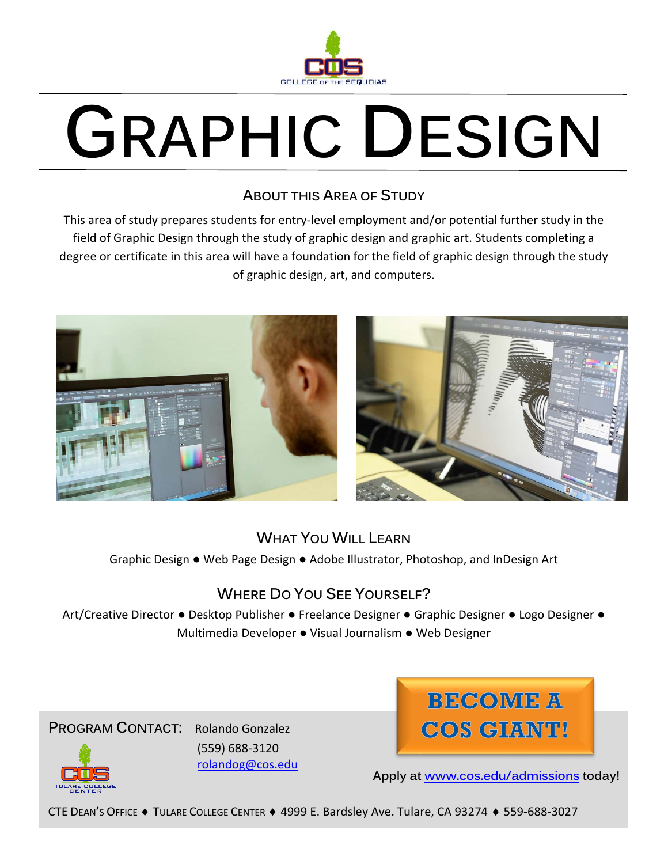

# **GRAPHIC DESIGN**

### **ABOUT THIS AREA OF STUDY**

This area of study prepares students for entry-level employment and/or potential further study in the field of Graphic Design through the study of graphic design and graphic art. Students completing a degree or certificate in this area will have a foundation for the field of graphic design through the study of graphic design, art, and computers.



## **WHAT YOU WILL LEARN**

Graphic Design ● Web Page Design ● Adobe Illustrator, Photoshop, and InDesign Art

# **WHERE DO YOU SEE YOURSELF?**

Art/Creative Director ● Desktop Publisher ● Freelance Designer ● Graphic Designer ● Logo Designer ● Multimedia Developer ● Visual Journalism ● Web Designer





**Apply at [www.cos.edu/admissions](http://www.cos.edu/admissions) today!**

CTE DEAN'S OFFICE ♦ TULARE COLLEGE CENTER ♦ 4999 E. Bardsley Ave. Tulare, CA 93274 ♦ 559-688-3027